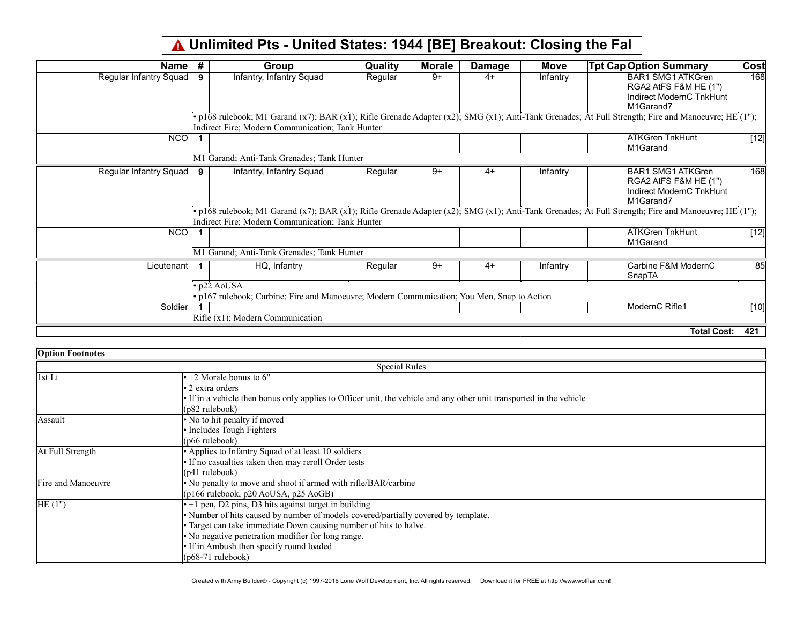## Unlimited Pts - United States: 1944 [BE] Breakout: Closing the Fal

| Name                   | #  | <b>Group</b>                                                                                             | <b>Quality</b> | <b>Morale</b> | <b>Damage</b> | Move     | <b>Tpt Cap Option Summary</b>                                                                                                                                      | Cost   |
|------------------------|----|----------------------------------------------------------------------------------------------------------|----------------|---------------|---------------|----------|--------------------------------------------------------------------------------------------------------------------------------------------------------------------|--------|
| Regular Infantry Squad | 9  | Infantry, Infantry Squad                                                                                 | Regular        | $9+$          | $4+$          | Infantry | BAR1 SMG1 ATKGren<br>RGA2 AtFS F&M HE (1")<br>Indirect ModernC TnkHunt<br>M1Garand7                                                                                | 168    |
|                        |    | Indirect Fire; Modern Communication; Tank Hunter                                                         |                |               |               |          | • p168 rulebook; M1 Garand $(x7)$ ; BAR $(x1)$ ; Rifle Grenade Adapter $(x2)$ ; SMG $(x1)$ ; Anti-Tank Grenades; At Full Strength; Fire and Manoeuvre; HE $(1")$ ; |        |
| <b>NCO</b>             |    |                                                                                                          |                |               |               |          | <b>ATKGren TnkHunt</b><br>M1Garand                                                                                                                                 | $[12]$ |
|                        |    | M1 Garand; Anti-Tank Grenades; Tank Hunter                                                               |                |               |               |          |                                                                                                                                                                    |        |
| Regular Infantry Squad | 9  | Infantry, Infantry Squad                                                                                 | Regular        | $9+$          | $4+$          | Infantry | BAR1 SMG1 ATKGren<br>$ RGA2A$ tFS F&M HE $(1")$<br>Indirect ModernC TnkHunt<br>M1Garand7                                                                           | 168    |
|                        |    | Indirect Fire; Modern Communication; Tank Hunter                                                         |                |               |               |          | · p168 rulebook; M1 Garand (x7); BAR (x1); Rifle Grenade Adapter (x2); SMG (x1); Anti-Tank Grenades; At Full Strength; Fire and Manoeuvre; HE (1");                |        |
| <b>NCO</b>             |    |                                                                                                          |                |               |               |          | <b>ATKGren TnkHunt</b><br>M1Garand                                                                                                                                 | $[12]$ |
|                        |    | M1 Garand; Anti-Tank Grenades; Tank Hunter                                                               |                |               |               |          |                                                                                                                                                                    |        |
| Lieutenant             | 1. | HQ, Infantry                                                                                             | Regular        | $9+$          | $4+$          | Infantry | Carbine F&M ModernC<br>SnapTA                                                                                                                                      | 85l    |
|                        |    | p22 AoUSA<br>• p167 rulebook; Carbine; Fire and Manoeuvre; Modern Communication; You Men, Snap to Action |                |               |               |          |                                                                                                                                                                    |        |
| Soldier                |    |                                                                                                          |                |               |               |          | ModernC Rifle1                                                                                                                                                     | [10]   |
|                        |    | $Rifle (x1)$ ; Modern Communication                                                                      |                |               |               |          |                                                                                                                                                                    |        |
|                        |    |                                                                                                          |                |               |               |          | Total Cost:                                                                                                                                                        | 421    |

| <b>Option Footnotes</b> |                                                                                                                      |  |  |  |
|-------------------------|----------------------------------------------------------------------------------------------------------------------|--|--|--|
| <b>Special Rules</b>    |                                                                                                                      |  |  |  |
| $\vert$ 1st Lt          | $\cdot$ +2 Morale bonus to 6"                                                                                        |  |  |  |
|                         | $\cdot$ 2 extra orders                                                                                               |  |  |  |
|                         | • If in a vehicle then bonus only applies to Officer unit, the vehicle and any other unit transported in the vehicle |  |  |  |
|                         | $(p82 \text{ rulebook})$                                                                                             |  |  |  |
| Assault                 | • No to hit penalty if moved                                                                                         |  |  |  |
|                         | • Includes Tough Fighters                                                                                            |  |  |  |
|                         | $(p66 \text{ rulebook})$                                                                                             |  |  |  |
| At Full Strength        | • Applies to Infantry Squad of at least 10 soldiers                                                                  |  |  |  |
|                         | • If no casualties taken then may reroll Order tests                                                                 |  |  |  |
|                         | $(p41$ rulebook)                                                                                                     |  |  |  |
| Fire and Manoeuvre      | • No penalty to move and shoot if armed with rifle/BAR/carbine                                                       |  |  |  |
|                         | $(p166 \text{ rulebook}, p20 \text{ AoUSA}, p25 \text{ AoGB})$                                                       |  |  |  |
| HE(1")                  | $\cdot$ +1 pen, D2 pins, D3 hits against target in building                                                          |  |  |  |
|                         | • Number of hits caused by number of models covered/partially covered by template.                                   |  |  |  |
|                         | • Target can take immediate Down causing number of hits to halve.                                                    |  |  |  |
|                         | • No negative penetration modifier for long range.                                                                   |  |  |  |
|                         | • If in Ambush then specify round loaded                                                                             |  |  |  |
|                         | $(p68-71 \text{ rulebook})$                                                                                          |  |  |  |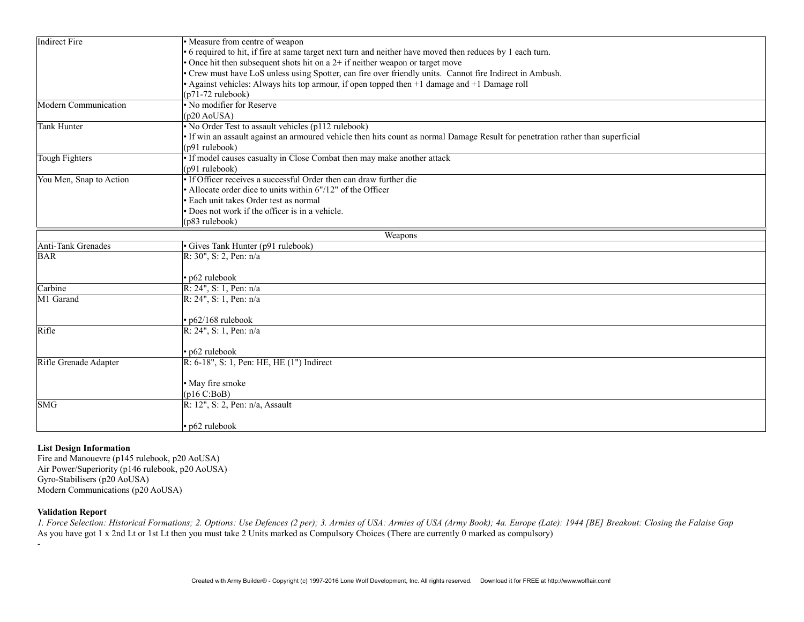| <b>Indirect Fire</b>    | • Measure from centre of weapon                                                                                               |  |  |  |
|-------------------------|-------------------------------------------------------------------------------------------------------------------------------|--|--|--|
|                         | • 6 required to hit, if fire at same target next turn and neither have moved then reduces by 1 each turn.                     |  |  |  |
|                         | • Once hit then subsequent shots hit on a $2+$ if neither weapon or target move                                               |  |  |  |
|                         | . Crew must have LoS unless using Spotter, can fire over friendly units. Cannot fire Indirect in Ambush.                      |  |  |  |
|                         | $\bullet$ Against vehicles: Always hits top armour, if open topped then $+1$ damage and $+1$ Damage roll                      |  |  |  |
|                         | $(p71-72 \text{ rulebook})$                                                                                                   |  |  |  |
| Modern Communication    | • No modifier for Reserve                                                                                                     |  |  |  |
|                         | $(p20 \text{ AoUSA})$                                                                                                         |  |  |  |
| <b>Tank Hunter</b>      | • No Order Test to assault vehicles (p112 rulebook)                                                                           |  |  |  |
|                         | If win an assault against an armoured vehicle then hits count as normal Damage Result for penetration rather than superficial |  |  |  |
|                         | (p91 rulebook)                                                                                                                |  |  |  |
| <b>Tough Fighters</b>   | • If model causes casualty in Close Combat then may make another attack                                                       |  |  |  |
|                         | (p91 rulebook)                                                                                                                |  |  |  |
| You Men, Snap to Action | • If Officer receives a successful Order then can draw further die                                                            |  |  |  |
|                         | • Allocate order dice to units within 6"/12" of the Officer                                                                   |  |  |  |
|                         | Each unit takes Order test as normal                                                                                          |  |  |  |
|                         | Does not work if the officer is in a vehicle.                                                                                 |  |  |  |
|                         | (p83 rulebook)                                                                                                                |  |  |  |
|                         | Weapons                                                                                                                       |  |  |  |
| Anti-Tank Grenades      | · Gives Tank Hunter (p91 rulebook)                                                                                            |  |  |  |
| <b>BAR</b>              | R: $30$ ", S: 2, Pen: $n/a$                                                                                                   |  |  |  |
|                         |                                                                                                                               |  |  |  |
|                         | • p62 rulebook                                                                                                                |  |  |  |
| Carbine                 | $R: 24$ ", S: 1, Pen: n/a                                                                                                     |  |  |  |
| M1 Garand               | $R: 24$ ", S: 1, Pen: n/a                                                                                                     |  |  |  |
|                         |                                                                                                                               |  |  |  |
|                         | · p62/168 rulebook                                                                                                            |  |  |  |
| Rifle                   | $R: 24$ ", S: 1, Pen: n/a                                                                                                     |  |  |  |
|                         |                                                                                                                               |  |  |  |
|                         | · p62 rulebook                                                                                                                |  |  |  |
| Rifle Grenade Adapter   | R: 6-18", S: 1, Pen: HE, HE (1") Indirect                                                                                     |  |  |  |
|                         |                                                                                                                               |  |  |  |
|                         | · May fire smoke                                                                                                              |  |  |  |
|                         | (p16 C:BoB)                                                                                                                   |  |  |  |
| <b>SMG</b>              | $R: 12$ ", S: 2, Pen: n/a, Assault                                                                                            |  |  |  |
|                         |                                                                                                                               |  |  |  |
|                         | · p62 rulebook                                                                                                                |  |  |  |

## List Design Information

Fire and Manouevre (p145 rulebook, p20 AoUSA) Air Power/Superiority (p146 rulebook, p20 AoUSA) Gyro-Stabilisers (p20 AoUSA) Modern Communications (p20 AoUSA)

## Validation Report

-

1. Force Selection: Historical Formations; 2. Options: Use Defences (2 per); 3. Armies of USA: Armies of USA (Army Book); 4a. Europe (Late): 1944 [BE] Breakout: Closing the Falaise Gap As you have got 1 x 2nd Lt or 1st Lt then you must take 2 Units marked as Compulsory Choices (There are currently 0 marked as compulsory)